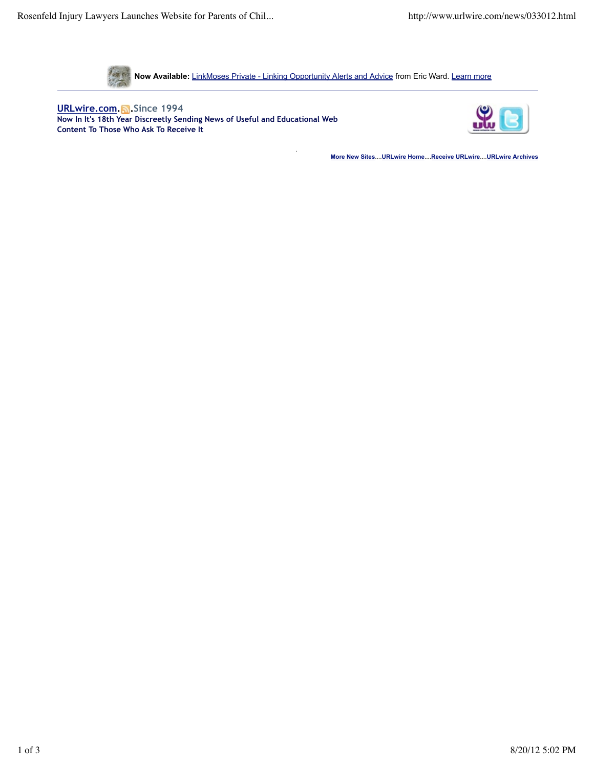

**Now Available:** LinkMoses Private - Linking Opportunity Alerts and Advice from Eric Ward. Learn more

.

**URLwire.com. .Since 1994 Now In It's 18th Year Discreetly Sending News of Useful and Educational Web Content To Those Who Ask To Receive It**



**More New Sites**....**URLwire Home**....**Receive URLwire**....**URLwire Archives**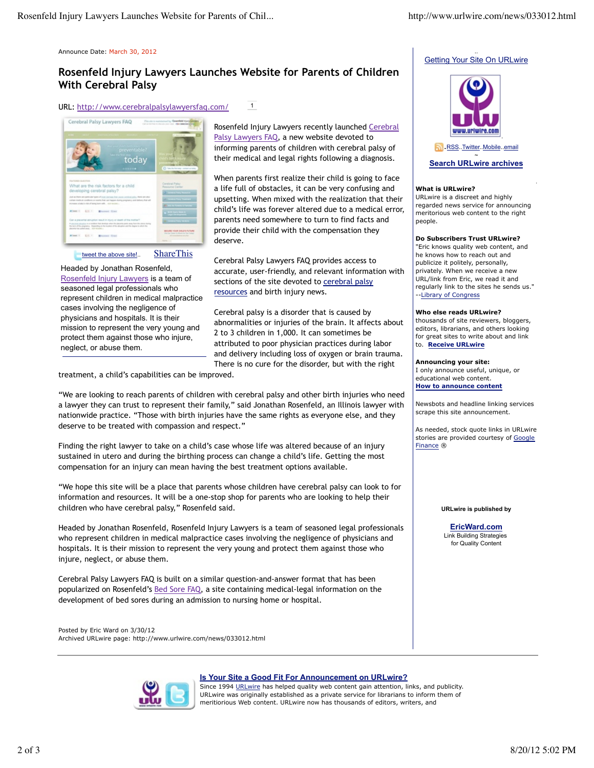Announce Date: March 30, 2012

# **Rosenfeld Injury Lawyers Launches Website for Parents of Children With Cerebral Palsy**



ebral Palsy Lawyers FAQ today o cerebral palsy? **Browner**, Street  $(4, 1)$ 

## tweet the above site!.. ShareThis

Headed by Jonathan Rosenfeld, Rosenfeld Injury Lawyers is a team of seasoned legal professionals who represent children in medical malpractice cases involving the negligence of physicians and hospitals. It is their mission to represent the very young and protect them against those who injure, neglect, or abuse them.

Rosenfeld Injury Lawyers recently launched Cerebral Palsy Lawyers FAQ, a new website devoted to informing parents of children with cerebral palsy of their medical and legal rights following a diagnosis.

When parents first realize their child is going to face a life full of obstacles, it can be very confusing and upsetting. When mixed with the realization that their child's life was forever altered due to a medical error, parents need somewhere to turn to find facts and provide their child with the compensation they deserve.

Cerebral Palsy Lawyers FAQ provides access to accurate, user-friendly, and relevant information with sections of the site devoted to cerebral palsy resources and birth injury news.

Cerebral palsy is a disorder that is caused by abnormalities or injuries of the brain. It affects about 2 to 3 children in 1,000. It can sometimes be attributed to poor physician practices during labor and delivery including loss of oxygen or brain trauma. There is no cure for the disorder, but with the right

treatment, a child's capabilities can be improved.

"We are looking to reach parents of children with cerebral palsy and other birth injuries who need a lawyer they can trust to represent their family," said Jonathan Rosenfeld, an Illinois lawyer with nationwide practice. "Those with birth injuries have the same rights as everyone else, and they deserve to be treated with compassion and respect."

Finding the right lawyer to take on a child's case whose life was altered because of an injury sustained in utero and during the birthing process can change a child's life. Getting the most compensation for an injury can mean having the best treatment options available.

"We hope this site will be a place that parents whose children have cerebral palsy can look to for information and resources. It will be a one-stop shop for parents who are looking to help their children who have cerebral palsy," Rosenfeld said.

Headed by Jonathan Rosenfeld, Rosenfeld Injury Lawyers is a team of seasoned legal professionals who represent children in medical malpractice cases involving the negligence of physicians and hospitals. It is their mission to represent the very young and protect them against those who injure, neglect, or abuse them.

Cerebral Palsy Lawyers FAQ is built on a similar question-and-answer format that has been popularized on Rosenfeld's Bed Sore FAQ, a site containing medical-legal information on the development of bed sores during an admission to nursing home or hospital.

Posted by Eric Ward on 3/30/12 Archived URLwire page: http://www.urlwire.com/news/033012.html





# **Search URLwire archives**

.

## **What is URLwire?**

URLwire is a discreet and highly regarded news service for announcing meritorious web content to the right people.

## **Do Subscribers Trust URLwire?**

"Eric knows quality web content, and he knows how to reach out and publicize it politely, personally, privately. When we receive a new URL/link from Eric, we read it and regularly link to the sites he sends us." --Library of Congress

### **Who else reads URLwire?**

thousands of site reviewers, bloggers, editors, librarians, and others looking for great sites to write about and link to. **Receive URLwire**

### **Announcing your site:**

I only announce useful, unique, or educational web content. **How to announce content**

Newsbots and headline linking services scrape this site announcement.

As needed, stock quote links in URLwire stories are provided courtesy of Google Finance ®

#### **URLwire is published by**

**EricWard.com** Link Building Strategies for Quality Content



## **Is Your Site a Good Fit For Announcement on URLwire?**

Since 1994 URLwire has helped quality web content gain attention, links, and publicity. URLwire was originally established as a private service for librarians to inform them of meritiorious Web content. URLwire now has thousands of editors, writers, and